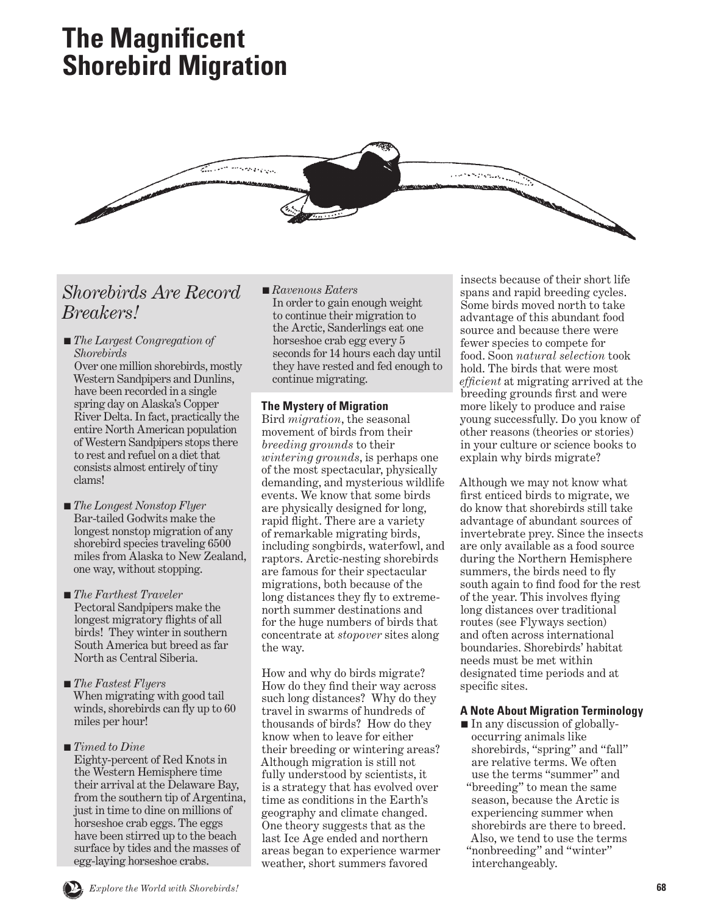# **The Magnificent Shorebird Migration**



# *Shorebirds Are Record Breakers!*

■ *The Largest Congregation of Shorebirds*

Over one million shorebirds, mostly Western Sandpipers and Dunlins, have been recorded in a single spring day on Alaska's Copper River Delta. In fact, practically the entire North American population of Western Sandpipers stops there to rest and refuel on a diet that consists almost entirely of tiny clams!

- *The Longest Nonstop Flyer*  Bar-tailed Godwits make the longest nonstop migration of any shorebird species traveling 6500 miles from Alaska to New Zealand, one way, without stopping.
- *The Farthest Traveler* Pectoral Sandpipers make the longest migratory flights of all birds! They winter in southern South America but breed as far North as Central Siberia.
- *The Fastest Flyers* When migrating with good tail winds, shorebirds can fly up to 60 miles per hour!
- *Timed to Dine* Eighty-percent of Red Knots in the Western Hemisphere time their arrival at the Delaware Bay, from the southern tip of Argentina, just in time to dine on millions of horseshoe crab eggs. The eggs have been stirred up to the beach surface by tides and the masses of egg-laying horseshoe crabs.

■ *Ravenous Eaters* In order to gain enough weight to continue their migration to the Arctic, Sanderlings eat one horseshoe crab egg every 5 seconds for 14 hours each day until they have rested and fed enough to continue migrating.

## **The Mystery of Migration**

Bird *migration*, the seasonal movement of birds from their *breeding grounds* to their *wintering grounds*, is perhaps one of the most spectacular, physically demanding, and mysterious wildlife events. We know that some birds are physically designed for long, rapid flight. There are a variety of remarkable migrating birds, including songbirds, waterfowl, and raptors. Arctic-nesting shorebirds are famous for their spectacular migrations, both because of the long distances they fly to extremenorth summer destinations and for the huge numbers of birds that concentrate at *stopover* sites along the way.

How and why do birds migrate? How do they find their way across such long distances? Why do they travel in swarms of hundreds of thousands of birds? How do they know when to leave for either their breeding or wintering areas? Although migration is still not fully understood by scientists, it is a strategy that has evolved over time as conditions in the Earth's geography and climate changed. One theory suggests that as the last Ice Age ended and northern areas began to experience warmer weather, short summers favored

insects because of their short life spans and rapid breeding cycles. Some birds moved north to take advantage of this abundant food source and because there were fewer species to compete for food. Soon *natural selection* took hold. The birds that were most *efficient* at migrating arrived at the breeding grounds first and were more likely to produce and raise young successfully. Do you know of other reasons (theories or stories) in your culture or science books to explain why birds migrate?

Although we may not know what first enticed birds to migrate, we do know that shorebirds still take advantage of abundant sources of invertebrate prey. Since the insects are only available as a food source during the Northern Hemisphere summers, the birds need to fly south again to find food for the rest of the year. This involves flying long distances over traditional routes (see Flyways section) and often across international boundaries. Shorebirds' habitat needs must be met within designated time periods and at specific sites.

## **A Note About Migration Terminology**

■ In any discussion of globallyoccurring animals like shorebirds, "spring" and "fall" are relative terms. We often use the terms "summer" and "breeding" to mean the same season, because the Arctic is experiencing summer when shorebirds are there to breed. Also, we tend to use the terms "nonbreeding" and "winter" interchangeably.